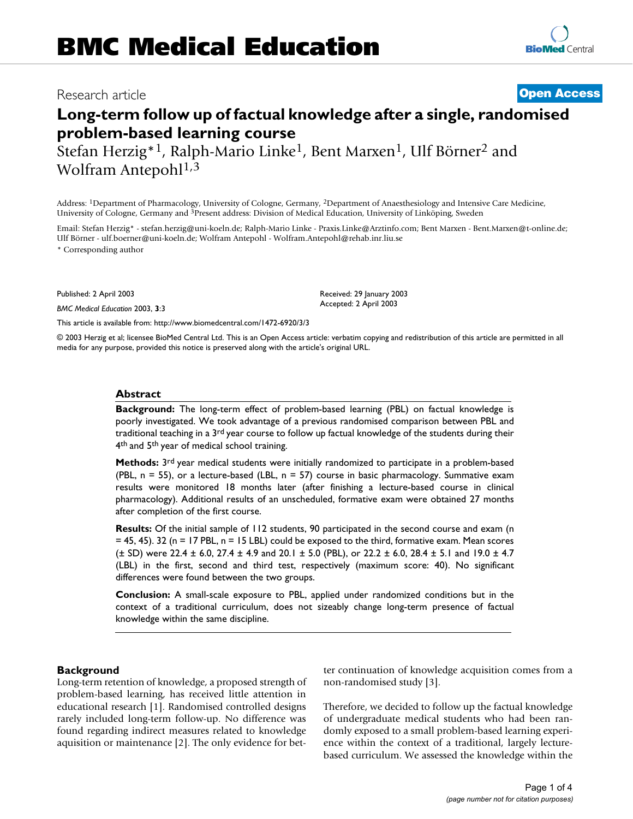# Research article **[Open Access](http://www.biomedcentral.com/info/about/charter/)**

# **Long-term follow up of factual knowledge after a single, randomised problem-based learning course**

Stefan Herzig\*1, Ralph-Mario Linke1, Bent Marxen1, Ulf Börner2 and Wolfram Antepohl<sup>1,3</sup>

Address: 1Department of Pharmacology, University of Cologne, Germany, 2Department of Anaesthesiology and Intensive Care Medicine, University of Cologne, Germany and 3Present address: Division of Medical Education, University of Linköping, Sweden

Email: Stefan Herzig\* - stefan.herzig@uni-koeln.de; Ralph-Mario Linke - Praxis.Linke@Arztinfo.com; Bent Marxen - Bent.Marxen@t-online.de; Ulf Börner - ulf.boerner@uni-koeln.de; Wolfram Antepohl - Wolfram.Antepohl@rehab.inr.liu.se

\* Corresponding author

Published: 2 April 2003

*BMC Medical Education* 2003, **3**:3

[This article is available from: http://www.biomedcentral.com/1472-6920/3/3](http://www.biomedcentral.com/1472-6920/3/3)

© 2003 Herzig et al; licensee BioMed Central Ltd. This is an Open Access article: verbatim copying and redistribution of this article are permitted in all media for any purpose, provided this notice is preserved along with the article's original URL.

#### **Abstract**

**Background:** The long-term effect of problem-based learning (PBL) on factual knowledge is poorly investigated. We took advantage of a previous randomised comparison between PBL and traditional teaching in a  $3<sup>rd</sup>$  year course to follow up factual knowledge of the students during their 4<sup>th</sup> and 5<sup>th</sup> year of medical school training.

**Methods:** 3rd year medical students were initially randomized to participate in a problem-based (PBL,  $n = 55$ ), or a lecture-based (LBL,  $n = 57$ ) course in basic pharmacology. Summative exam results were monitored 18 months later (after finishing a lecture-based course in clinical pharmacology). Additional results of an unscheduled, formative exam were obtained 27 months after completion of the first course.

**Results:** Of the initial sample of 112 students, 90 participated in the second course and exam (n = 45, 45). 32 (n = 17 PBL, n = 15 LBL) could be exposed to the third, formative exam. Mean scores  $(\pm$  SD) were 22.4  $\pm$  6.0, 27.4  $\pm$  4.9 and 20.1  $\pm$  5.0 (PBL), or 22.2  $\pm$  6.0, 28.4  $\pm$  5.1 and 19.0  $\pm$  4.7 (LBL) in the first, second and third test, respectively (maximum score: 40). No significant differences were found between the two groups.

**Conclusion:** A small-scale exposure to PBL, applied under randomized conditions but in the context of a traditional curriculum, does not sizeably change long-term presence of factual knowledge within the same discipline.

#### **Background**

Long-term retention of knowledge, a proposed strength of problem-based learning, has received little attention in educational research [1]. Randomised controlled designs rarely included long-term follow-up. No difference was found regarding indirect measures related to knowledge aquisition or maintenance [2]. The only evidence for better continuation of knowledge acquisition comes from a non-randomised study [3].

Therefore, we decided to follow up the factual knowledge of undergraduate medical students who had been randomly exposed to a small problem-based learning experience within the context of a traditional, largely lecturebased curriculum. We assessed the knowledge within the

Received: 29 January 2003

Accepted: 2 April 2003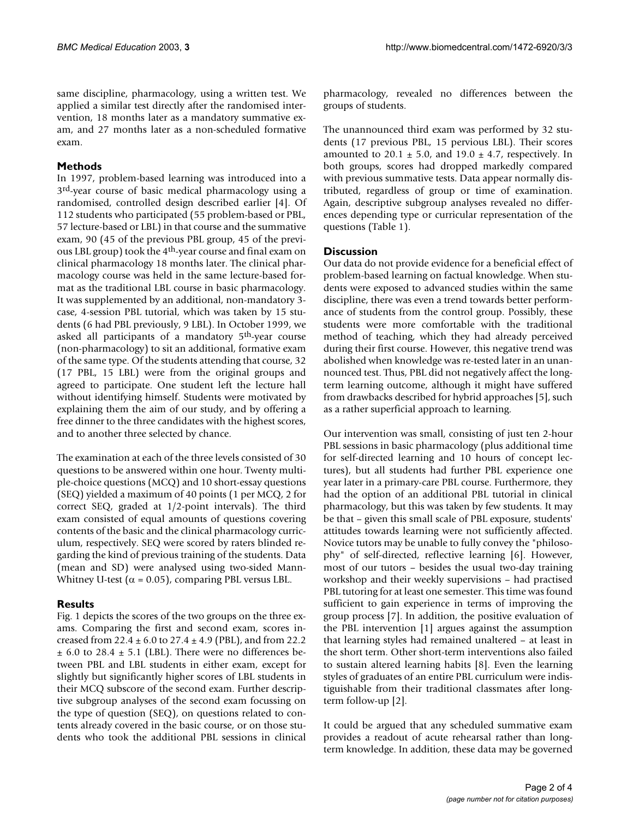same discipline, pharmacology, using a written test. We applied a similar test directly after the randomised intervention, 18 months later as a mandatory summative exam, and 27 months later as a non-scheduled formative exam.

# **Methods**

In 1997, problem-based learning was introduced into a 3rd-year course of basic medical pharmacology using a randomised, controlled design described earlier [4]. Of 112 students who participated (55 problem-based or PBL, 57 lecture-based or LBL) in that course and the summative exam, 90 (45 of the previous PBL group, 45 of the previous LBL group) took the 4<sup>th</sup>-year course and final exam on clinical pharmacology 18 months later. The clinical pharmacology course was held in the same lecture-based format as the traditional LBL course in basic pharmacology. It was supplemented by an additional, non-mandatory 3 case, 4-session PBL tutorial, which was taken by 15 students (6 had PBL previously, 9 LBL). In October 1999, we asked all participants of a mandatory 5th-year course (non-pharmacology) to sit an additional, formative exam of the same type. Of the students attending that course, 32 (17 PBL, 15 LBL) were from the original groups and agreed to participate. One student left the lecture hall without identifying himself. Students were motivated by explaining them the aim of our study, and by offering a free dinner to the three candidates with the highest scores, and to another three selected by chance.

The examination at each of the three levels consisted of 30 questions to be answered within one hour. Twenty multiple-choice questions (MCQ) and 10 short-essay questions (SEQ) yielded a maximum of 40 points (1 per MCQ, 2 for correct SEQ, graded at 1/2-point intervals). The third exam consisted of equal amounts of questions covering contents of the basic and the clinical pharmacology curriculum, respectively. SEQ were scored by raters blinded regarding the kind of previous training of the students. Data (mean and SD) were analysed using two-sided Mann-Whitney U-test ( $\alpha$  = 0.05), comparing PBL versus LBL.

# **Results**

Fig. [1](#page-2-0) depicts the scores of the two groups on the three exams. Comparing the first and second exam, scores increased from  $22.4 \pm 6.0$  to  $27.4 \pm 4.9$  (PBL), and from 22.2  $\pm$  6.0 to 28.4  $\pm$  5.1 (LBL). There were no differences between PBL and LBL students in either exam, except for slightly but significantly higher scores of LBL students in their MCQ subscore of the second exam. Further descriptive subgroup analyses of the second exam focussing on the type of question (SEQ), on questions related to contents already covered in the basic course, or on those students who took the additional PBL sessions in clinical

pharmacology, revealed no differences between the groups of students.

The unannounced third exam was performed by 32 students (17 previous PBL, 15 pervious LBL). Their scores amounted to 20.1  $\pm$  5.0, and 19.0  $\pm$  4.7, respectively. In both groups, scores had dropped markedly compared with previous summative tests. Data appear normally distributed, regardless of group or time of examination. Again, descriptive subgroup analyses revealed no differences depending type or curricular representation of the questions (Table [1\)](#page-3-0).

# **Discussion**

Our data do not provide evidence for a beneficial effect of problem-based learning on factual knowledge. When students were exposed to advanced studies within the same discipline, there was even a trend towards better performance of students from the control group. Possibly, these students were more comfortable with the traditional method of teaching, which they had already perceived during their first course. However, this negative trend was abolished when knowledge was re-tested later in an unannounced test. Thus, PBL did not negatively affect the longterm learning outcome, although it might have suffered from drawbacks described for hybrid approaches [5], such as a rather superficial approach to learning.

Our intervention was small, consisting of just ten 2-hour PBL sessions in basic pharmacology (plus additional time for self-directed learning and 10 hours of concept lectures), but all students had further PBL experience one year later in a primary-care PBL course. Furthermore, they had the option of an additional PBL tutorial in clinical pharmacology, but this was taken by few students. It may be that – given this small scale of PBL exposure, students' attitudes towards learning were not sufficiently affected. Novice tutors may be unable to fully convey the "philosophy" of self-directed, reflective learning [6]. However, most of our tutors – besides the usual two-day training workshop and their weekly supervisions – had practised PBL tutoring for at least one semester. This time was found sufficient to gain experience in terms of improving the group process [7]. In addition, the positive evaluation of the PBL intervention [1] argues against the assumption that learning styles had remained unaltered – at least in the short term. Other short-term interventions also failed to sustain altered learning habits [8]. Even the learning styles of graduates of an entire PBL curriculum were indistiguishable from their traditional classmates after longterm follow-up [2].

It could be argued that any scheduled summative exam provides a readout of acute rehearsal rather than longterm knowledge. In addition, these data may be governed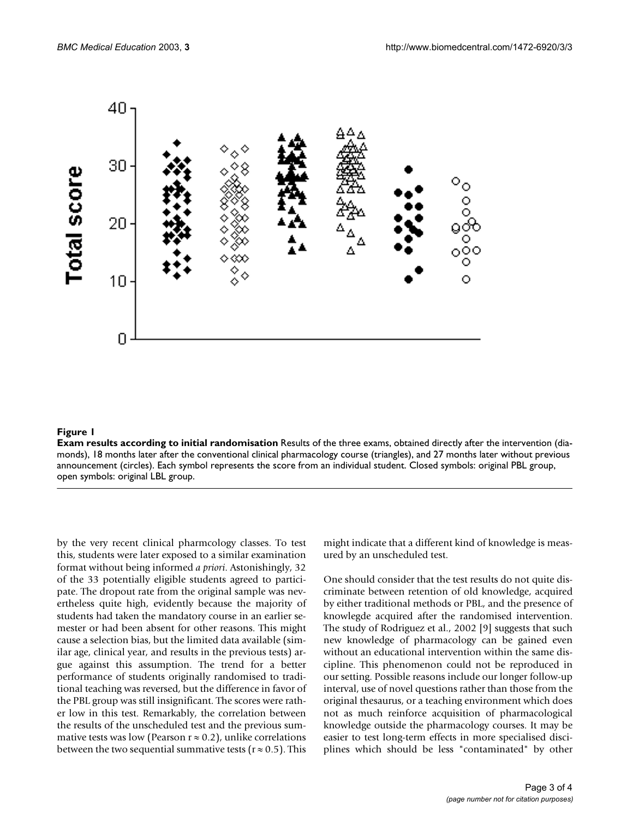<span id="page-2-0"></span>

#### **Figure 1**

**Exam results according to initial randomisation** Results of the three exams, obtained directly after the intervention (diamonds), 18 months later after the conventional clinical pharmacology course (triangles), and 27 months later without previous announcement (circles). Each symbol represents the score from an individual student. Closed symbols: original PBL group, open symbols: original LBL group.

by the very recent clinical pharmcology classes. To test this, students were later exposed to a similar examination format without being informed *a priori*. Astonishingly, 32 of the 33 potentially eligible students agreed to participate. The dropout rate from the original sample was nevertheless quite high, evidently because the majority of students had taken the mandatory course in an earlier semester or had been absent for other reasons. This might cause a selection bias, but the limited data available (similar age, clinical year, and results in the previous tests) argue against this assumption. The trend for a better performance of students originally randomised to traditional teaching was reversed, but the difference in favor of the PBL group was still insignificant. The scores were rather low in this test. Remarkably, the correlation between the results of the unscheduled test and the previous summative tests was low (Pearson  $r \approx 0.2$ ), unlike correlations between the two sequential summative tests ( $r \approx 0.5$ ). This might indicate that a different kind of knowledge is measured by an unscheduled test.

One should consider that the test results do not quite discriminate between retention of old knowledge, acquired by either traditional methods or PBL, and the presence of knowlegde acquired after the randomised intervention. The study of Rodriguez et al., 2002 [9] suggests that such new knowledge of pharmacology can be gained even without an educational intervention within the same discipline. This phenomenon could not be reproduced in our setting. Possible reasons include our longer follow-up interval, use of novel questions rather than those from the original thesaurus, or a teaching environment which does not as much reinforce acquisition of pharmacological knowledge outside the pharmacology courses. It may be easier to test long-term effects in more specialised disciplines which should be less "contaminated" by other